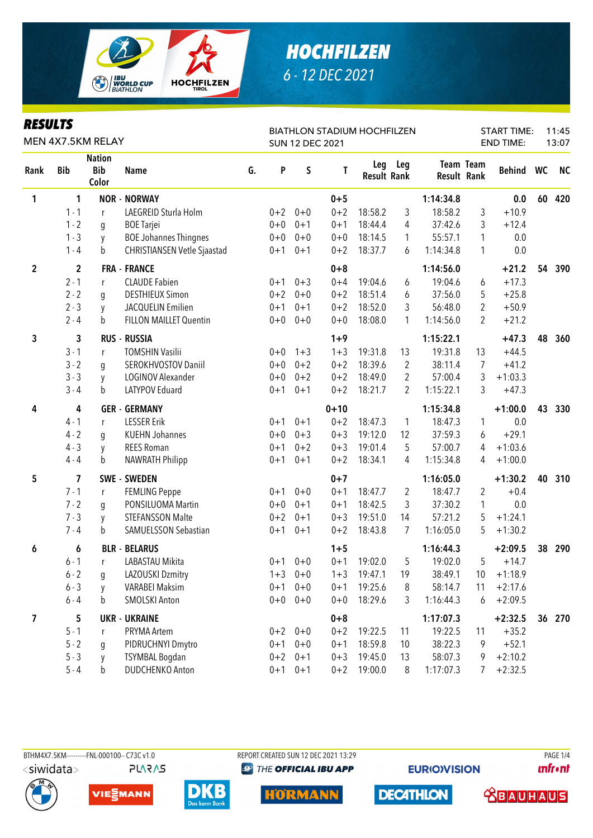

### **RESULTS**

| <b>KESULIS</b><br>MEN 4X7.5KM RELAY |             |                                      |                                    |    |         | <b>SUN 12 DEC 2021</b> | <b>BIATHLON STADIUM HOCHFILZEN</b> | <b>START TIME:</b><br><b>END TIME:</b> | 11:45<br>13:07 |           |                                 |           |    |           |
|-------------------------------------|-------------|--------------------------------------|------------------------------------|----|---------|------------------------|------------------------------------|----------------------------------------|----------------|-----------|---------------------------------|-----------|----|-----------|
| Rank                                | <b>Bib</b>  | <b>Nation</b><br><b>Bib</b><br>Color | <b>Name</b>                        | G. | P       | S                      | T                                  | Leg<br><b>Result Rank</b>              | Leg            |           | Team Team<br><b>Result Rank</b> | Behind WC |    | <b>NC</b> |
| 1                                   | 1           |                                      | <b>NOR - NORWAY</b>                |    |         |                        | $0 + 5$                            |                                        |                | 1:14:34.8 |                                 | 0.0       | 60 | 420       |
|                                     | $1 - 1$     | r                                    | LAEGREID Sturla Holm               |    | $0 + 2$ | $0 + 0$                | $0 + 2$                            | 18:58.2                                | 3              | 18:58.2   | 3                               | $+10.9$   |    |           |
|                                     | $1 - 2$     | g                                    | <b>BOE Tarjei</b>                  |    | $0+0$   | $0 + 1$                | $0 + 1$                            | 18:44.4                                | $\overline{4}$ | 37:42.6   | 3                               | $+12.4$   |    |           |
|                                     | $1 - 3$     | y                                    | <b>BOE Johannes Thingnes</b>       |    | $0 + 0$ | $0 + 0$                | $0 + 0$                            | 18:14.5                                | $\mathbf{1}$   | 55:57.1   | 1                               | 0.0       |    |           |
|                                     | $1 - 4$     | b                                    | <b>CHRISTIANSEN Vetle Sjaastad</b> |    | $0 + 1$ | $0 + 1$                | $0 + 2$                            | 18:37.7                                | 6              | 1:14:34.8 | 1                               | 0.0       |    |           |
| $\boldsymbol{2}$                    | $\mathbf 2$ |                                      | <b>FRA - FRANCE</b>                |    |         |                        | $0 + 8$                            |                                        |                | 1:14:56.0 |                                 | $+21.2$   | 54 | 390       |
|                                     | $2 - 1$     | r                                    | <b>CLAUDE Fabien</b>               |    | $0 + 1$ | $0 + 3$                | $0 + 4$                            | 19:04.6                                | 6              | 19:04.6   | 6                               | $+17.3$   |    |           |
|                                     | $2 - 2$     | g                                    | <b>DESTHIEUX Simon</b>             |    | $0 + 2$ | $0 + 0$                | $0 + 2$                            | 18:51.4                                | 6              | 37:56.0   | 5                               | $+25.8$   |    |           |
|                                     | $2 - 3$     | y                                    | JACQUELIN Emilien                  |    | $0 + 1$ | $0 + 1$                | $0 + 2$                            | 18:52.0                                | 3              | 56:48.0   | $\overline{2}$                  | $+50.9$   |    |           |
|                                     | $2 - 4$     | b                                    | <b>FILLON MAILLET Quentin</b>      |    | $0+0$   | $0 + 0$                | $0 + 0$                            | 18:08.0                                | 1              | 1:14:56.0 | 2                               | $+21.2$   |    |           |
| 3                                   | 3           |                                      | <b>RUS - RUSSIA</b>                |    |         |                        | $1 + 9$                            |                                        |                | 1:15:22.1 |                                 | $+47.3$   | 48 | 360       |
|                                     | $3 - 1$     | r                                    | <b>TOMSHIN Vasilii</b>             |    | $0 + 0$ | $1 + 3$                | $1 + 3$                            | 19:31.8                                | 13             | 19:31.8   | 13                              | $+44.5$   |    |           |
|                                     | $3 - 2$     | q                                    | SEROKHVOSTOV Daniil                |    | $0 + 0$ | $0 + 2$                | $0 + 2$                            | 18:39.6                                | $\overline{2}$ | 38:11.4   | 7                               | $+41.2$   |    |           |
|                                     | $3 - 3$     | y                                    | LOGINOV Alexander                  |    | $0 + 0$ | $0 + 2$                | $0 + 2$                            | 18:49.0                                | 2              | 57:00.4   | 3                               | $+1:03.3$ |    |           |
|                                     | $3 - 4$     | b                                    | LATYPOV Eduard                     |    | $0 + 1$ | $0 + 1$                | $0 + 2$                            | 18:21.7                                | $\overline{2}$ | 1:15:22.1 | 3                               | $+47.3$   |    |           |
| 4                                   | 4           |                                      | <b>GER - GERMANY</b>               |    |         |                        | $0 + 10$                           |                                        |                | 1:15:34.8 |                                 | $+1:00.0$ | 43 | 330       |
|                                     | $4 - 1$     | r                                    | <b>LESSER Erik</b>                 |    | $0 + 1$ | $0 + 1$                | $0 + 2$                            | 18:47.3                                | $\mathbf{1}$   | 18:47.3   | 1                               | 0.0       |    |           |
|                                     | $4 - 2$     | g                                    | <b>KUEHN Johannes</b>              |    | $0 + 0$ | $0 + 3$                | $0 + 3$                            | 19:12.0                                | 12             | 37:59.3   | 6                               | $+29.1$   |    |           |
|                                     | $4 - 3$     | y                                    | <b>REES Roman</b>                  |    | $0 + 1$ | $0 + 2$                | $0 + 3$                            | 19:01.4                                | 5              | 57:00.7   | 4                               | $+1:03.6$ |    |           |
|                                     | $4 - 4$     | b                                    | <b>NAWRATH Philipp</b>             |    | $0 + 1$ | $0 + 1$                | $0 + 2$                            | 18:34.1                                | 4              | 1:15:34.8 | 4                               | $+1:00.0$ |    |           |
| 5                                   | 7           | <b>SWE</b>                           | - SWEDEN                           |    |         |                        | $0 + 7$                            |                                        |                | 1:16:05.0 |                                 | $+1:30.2$ | 40 | 310       |
|                                     | $7 - 1$     | r                                    | <b>FEMLING Peppe</b>               |    | $0 + 1$ | $0 + 0$                | $0 + 1$                            | 18:47.7                                | 2              | 18:47.7   | 2                               | $+0.4$    |    |           |
|                                     | $7 - 2$     | g                                    | PONSILUOMA Martin                  |    | $0+0$   | $0 + 1$                | $0 + 1$                            | 18:42.5                                | 3              | 37:30.2   | 1                               | 0.0       |    |           |
|                                     | $7 - 3$     | y                                    | <b>STEFANSSON Malte</b>            |    | $0 + 2$ | $0 + 1$                | $0 + 3$                            | 19:51.0                                | 14             | 57:21.2   | 5                               | $+1:24.1$ |    |           |
|                                     | $7 - 4$     | b                                    | SAMUELSSON Sebastian               |    | $0 + 1$ | $0 + 1$                | $0 + 2$                            | 18:43.8                                | 7              | 1:16:05.0 | 5                               | $+1:30.2$ |    |           |
| 6                                   | 6           |                                      | <b>BLR - BELARUS</b>               |    |         |                        | $1 + 5$                            |                                        |                | 1:16:44.3 |                                 | $+2:09.5$ | 38 | 290       |
|                                     | $6 - 1$     | r                                    | LABASTAU Mikita                    |    | $0 + 1$ | $0 + 0$                | $0 + 1$                            | 19:02.0                                | 5              | 19:02.0   | 5                               | $+14.7$   |    |           |
|                                     | $6 - 2$     | g                                    | LAZOUSKI Dzmitry                   |    |         | $1+3$ 0+0              | $1 + 3$                            | 19:47.1                                | 19             | 38:49.1   | 10                              | $+1:18.9$ |    |           |
|                                     | $6 - 3$     | y                                    | <b>VARABEI Maksim</b>              |    | $0 + 1$ | $0 + 0$                | $0 + 1$                            | 19:25.6                                | 8              | 58:14.7   | 11                              | $+2:17.6$ |    |           |
|                                     | $6 - 4$     | b                                    | <b>SMOLSKI Anton</b>               |    | $0+0$   | $0 + 0$                | $0 + 0$                            | 18:29.6                                | 3              | 1:16:44.3 | 6                               | $+2:09.5$ |    |           |
| 7                                   | 5           |                                      | <b>UKR - UKRAINE</b>               |    |         |                        | $0 + 8$                            |                                        |                | 1:17:07.3 |                                 | $+2:32.5$ |    | 36 270    |
|                                     | $5 - 1$     | r                                    | PRYMA Artem                        |    |         | $0+2$ 0+0              | $0 + 2$                            | 19:22.5                                | 11             | 19:22.5   | 11                              | $+35.2$   |    |           |
|                                     | $5 - 2$     | g                                    | PIDRUCHNYI Dmytro                  |    | $0 + 1$ | $0+0$                  | $0 + 1$                            | 18:59.8                                | 10             | 38:22.3   | 9                               | $+52.1$   |    |           |
|                                     | $5 - 3$     | y                                    | <b>TSYMBAL Bogdan</b>              |    | $0 + 2$ | $0 + 1$                | $0 + 3$                            | 19:45.0                                | 13             | 58:07.3   | 9                               | $+2:10.2$ |    |           |
|                                     | $5 - 4$     | $\mathsf b$                          | <b>DUDCHENKO Anton</b>             |    |         | $0+1$ 0+1              | $0 + 2$                            | 19:00.0                                | 8              | 1:17:07.3 | 7                               | $+2:32.5$ |    |           |

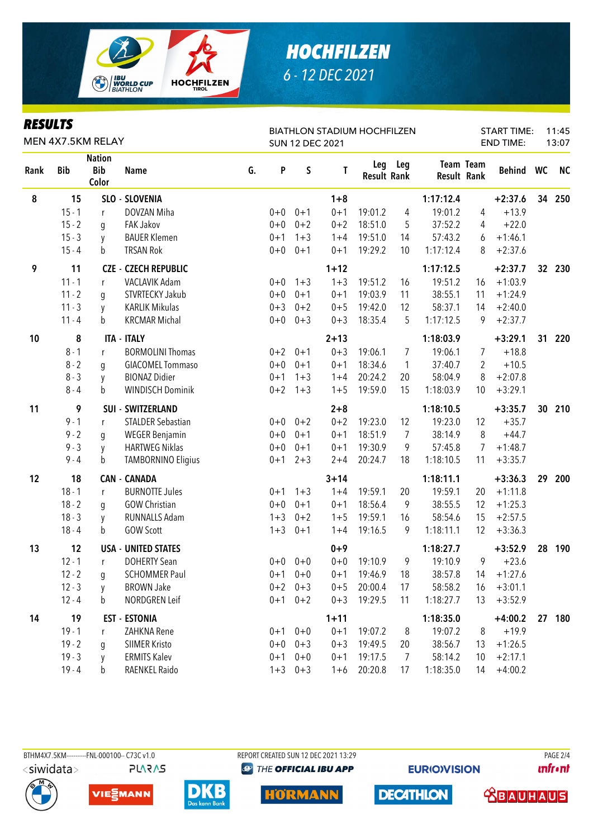

| <i><b>RESULTS</b></i> |
|-----------------------|
|-----------------------|

| KEƏVLIƏ<br>MEN 4X7.5KM RELAY |            |                                      |                             |    |         | <b>BIATHLON STADIUM HOCHFILZEN</b><br><b>SUN 12 DEC 2021</b> |          | <b>START TIME:</b><br>11:45<br><b>END TIME:</b><br>13:07 |                |             |           |           |                 |           |
|------------------------------|------------|--------------------------------------|-----------------------------|----|---------|--------------------------------------------------------------|----------|----------------------------------------------------------|----------------|-------------|-----------|-----------|-----------------|-----------|
| Rank                         | <b>Bib</b> | <b>Nation</b><br><b>Bib</b><br>Color | <b>Name</b>                 | G. | P       | $\mathsf S$                                                  | Τ        | <b>Result Rank</b>                                       | Leg Leg        | Result Rank | Team Team | Behind WC |                 | <b>NC</b> |
| 8                            | 15         |                                      | SLO - SLOVENIA              |    |         |                                                              | $1 + 8$  |                                                          |                | 1:17:12.4   |           | $+2:37.6$ |                 | 34 250    |
|                              | $15 - 1$   | $\mathsf{r}$                         | DOVZAN Miha                 |    | $0 + 0$ | $0 + 1$                                                      | $0 + 1$  | 19:01.2                                                  | 4              | 19:01.2     | 4         | $+13.9$   |                 |           |
|                              | $15 - 2$   | g                                    | <b>FAK Jakov</b>            |    | $0+0$   | $0 + 2$                                                      | $0 + 2$  | 18:51.0                                                  | 5              | 37:52.2     | 4         | $+22.0$   |                 |           |
|                              | $15 - 3$   | y                                    | <b>BAUER Klemen</b>         |    | $0 + 1$ | $1 + 3$                                                      | $1 + 4$  | 19:51.0                                                  | 14             | 57:43.2     | 6         | $+1:46.1$ |                 |           |
|                              | $15 - 4$   | $\mathbf b$                          | <b>TRSAN Rok</b>            |    | $0+0$   | $0 + 1$                                                      | $0 + 1$  | 19:29.2                                                  | 10             | 1:17:12.4   | 8         | $+2:37.6$ |                 |           |
| 9                            | 11         |                                      | <b>CZE - CZECH REPUBLIC</b> |    |         |                                                              | $1 + 12$ |                                                          |                | 1:17:12.5   |           | $+2:37.7$ | 32 <sup>2</sup> | 230       |
|                              | $11 - 1$   | r                                    | VACLAVIK Adam               |    | $0+0$   | $1 + 3$                                                      | $1 + 3$  | 19:51.2                                                  | 16             | 19:51.2     | 16        | $+1:03.9$ |                 |           |
|                              | $11 - 2$   | g                                    | STVRTECKY Jakub             |    | $0+0$   | $0 + 1$                                                      | $0 + 1$  | 19:03.9                                                  | 11             | 38:55.1     | 11        | $+1:24.9$ |                 |           |
|                              | $11 - 3$   | y                                    | <b>KARLIK Mikulas</b>       |    | $0 + 3$ | $0 + 2$                                                      | $0 + 5$  | 19:42.0                                                  | 12             | 58:37.1     | 14        | $+2:40.0$ |                 |           |
|                              | $11 - 4$   | b                                    | <b>KRCMAR Michal</b>        |    | $0+0$   | $0 + 3$                                                      | $0 + 3$  | 18:35.4                                                  | 5              | 1:17:12.5   | 9         | $+2:37.7$ |                 |           |
| 10                           | 8          |                                      | <b>ITA - ITALY</b>          |    |         |                                                              | $2 + 13$ |                                                          |                | 1:18:03.9   |           | $+3:29.1$ | 31              | 220       |
|                              | $8 - 1$    | r                                    | <b>BORMOLINI Thomas</b>     |    |         | $0+2$ 0+1                                                    | $0 + 3$  | 19:06.1                                                  | 7              | 19:06.1     | 7         | $+18.8$   |                 |           |
|                              | $8 - 2$    | q                                    | <b>GIACOMEL Tommaso</b>     |    | $0+0$   | $0 + 1$                                                      | $0 + 1$  | 18:34.6                                                  | $\mathbf{1}$   | 37:40.7     | 2         | $+10.5$   |                 |           |
|                              | $8 - 3$    | y                                    | <b>BIONAZ Didier</b>        |    | $0 + 1$ | $1 + 3$                                                      | $1 + 4$  | 20:24.2                                                  | 20             | 58:04.9     | 8         | $+2:07.8$ |                 |           |
|                              | $8 - 4$    | b                                    | <b>WINDISCH Dominik</b>     |    | $0 + 2$ | $1 + 3$                                                      | $1 + 5$  | 19:59.0                                                  | 15             | 1:18:03.9   | 10        | $+3:29.1$ |                 |           |
| 11                           | 9          |                                      | SUI - SWITZERLAND           |    |         |                                                              | $2 + 8$  |                                                          |                | 1:18:10.5   |           | $+3:35.7$ | 30              | 210       |
|                              | $9 - 1$    | r                                    | <b>STALDER Sebastian</b>    |    |         | $0+0$ $0+2$                                                  | $0 + 2$  | 19:23.0                                                  | 12             | 19:23.0     | 12        | $+35.7$   |                 |           |
|                              | $9 - 2$    | g                                    | <b>WEGER Benjamin</b>       |    | $0+0$   | $0 + 1$                                                      | $0 + 1$  | 18:51.9                                                  | $\overline{7}$ | 38:14.9     | 8         | $+44.7$   |                 |           |
|                              | $9 - 3$    | y                                    | <b>HARTWEG Niklas</b>       |    | $0+0$   | $0 + 1$                                                      | $0 + 1$  | 19:30.9                                                  | 9              | 57:45.8     | 7         | $+1:48.7$ |                 |           |
|                              | $9 - 4$    | b                                    | <b>TAMBORNINO Eligius</b>   |    | $0 + 1$ | $2 + 3$                                                      | $2 + 4$  | 20:24.7                                                  | 18             | 1:18:10.5   | 11        | $+3:35.7$ |                 |           |
| 12                           | 18         |                                      | <b>CAN - CANADA</b>         |    |         |                                                              | $3 + 14$ |                                                          |                | 1:18:11.1   |           | $+3:36.3$ | 29              | 200       |
|                              | $18 - 1$   | $\mathsf{r}$                         | <b>BURNOTTE Jules</b>       |    | $0 + 1$ | $1 + 3$                                                      | $1 + 4$  | 19:59.1                                                  | 20             | 19:59.1     | 20        | $+1:11.8$ |                 |           |
|                              | $18 - 2$   | g                                    | <b>GOW Christian</b>        |    | $0+0$   | $0 + 1$                                                      | $0 + 1$  | 18:56.4                                                  | 9              | 38:55.5     | 12        | $+1:25.3$ |                 |           |
|                              | $18 - 3$   | y                                    | <b>RUNNALLS Adam</b>        |    | $1 + 3$ | $0 + 2$                                                      | $1 + 5$  | 19:59.1                                                  | 16             | 58:54.6     | 15        | $+2:57.5$ |                 |           |
|                              | $18 - 4$   | b                                    | <b>GOW Scott</b>            |    | $1 + 3$ | $0 + 1$                                                      | $1 + 4$  | 19:16.5                                                  | 9              | 1:18:11.1   | 12        | $+3:36.3$ |                 |           |
| 13                           | 12         |                                      | <b>USA - UNITED STATES</b>  |    |         |                                                              | $0 + 9$  |                                                          |                | 1:18:27.7   |           | $+3:52.9$ | 28              | 190       |
|                              | $12 - 1$   | r                                    | <b>DOHERTY Sean</b>         |    |         | $0+0$ 0+0                                                    | $0+0$    | 19:10.9                                                  | 9              | 19:10.9     | 9         | $+23.6$   |                 |           |
|                              | $12 - 2$   | g                                    | <b>SCHOMMER Paul</b>        |    |         | $0+1$ 0+0                                                    | $0 + 1$  | 19:46.9                                                  | 18             | 38:57.8     | 14        | $+1:27.6$ |                 |           |
|                              | $12 - 3$   | y                                    | <b>BROWN Jake</b>           |    | $0 + 2$ | $0 + 3$                                                      | $0 + 5$  | 20:00.4                                                  | 17             | 58:58.2     | 16        | $+3:01.1$ |                 |           |
|                              | $12 - 4$   | b                                    | NORDGREN Leif               |    |         | $0+1$ $0+2$                                                  | $0 + 3$  | 19:29.5                                                  | 11             | 1:18:27.7   | 13        | $+3:52.9$ |                 |           |
| 14                           | 19         |                                      | <b>EST - ESTONIA</b>        |    |         |                                                              | $1 + 11$ |                                                          |                | 1:18:35.0   |           | $+4:00.2$ |                 | 27 180    |
|                              | $19 - 1$   | r                                    | ZAHKNA Rene                 |    |         | $0+1$ 0+0                                                    | $0 + 1$  | 19:07.2                                                  | 8              | 19:07.2     | 8         | $+19.9$   |                 |           |
|                              | $19 - 2$   | g                                    | SIIMER Kristo               |    | $0+0$   | $0 + 3$                                                      | $0 + 3$  | 19:49.5                                                  | 20             | 38:56.7     | 13        | $+1:26.5$ |                 |           |
|                              | $19 - 3$   | y                                    | <b>ERMITS Kalev</b>         |    | $0 + 1$ | $0 + 0$                                                      | $0 + 1$  | 19:17.5                                                  | 7              | 58:14.2     | 10        | $+2:17.1$ |                 |           |
|                              | $19 - 4$   | b                                    | RAENKEL Raido               |    | $1 + 3$ | $0 + 3$                                                      | $1 + 6$  | 20:20.8                                                  | 17             | 1:18:35.0   | 14        | $+4:00.2$ |                 |           |

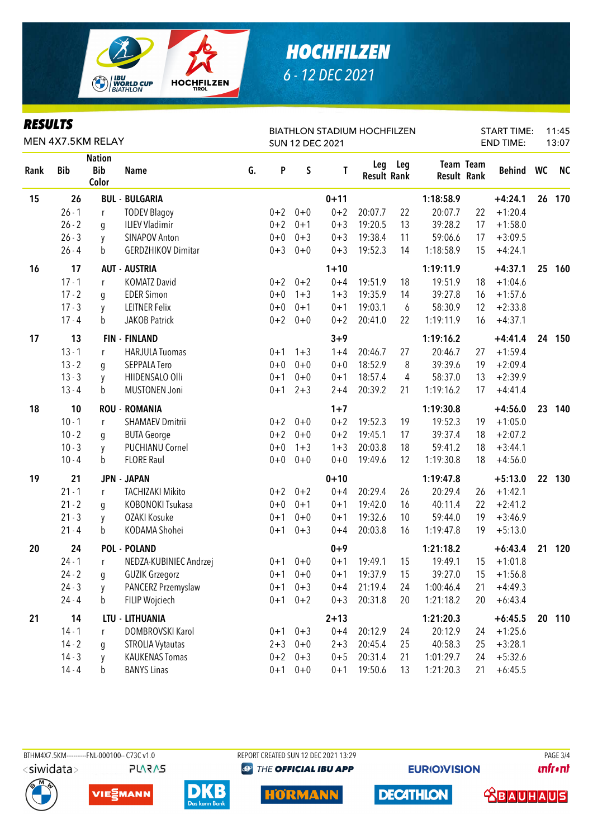

| KEJULIJ<br>MEN 4X7.5KM RELAY |            |                                      |                           |    |         | <b>SUN 12 DEC 2021</b> | <b>BIATHLON STADIUM HOCHFILZEN</b> |                           | <b>START TIME:</b><br><b>END TIME:</b> |                                 | 11:45<br>13:07 |           |    |           |
|------------------------------|------------|--------------------------------------|---------------------------|----|---------|------------------------|------------------------------------|---------------------------|----------------------------------------|---------------------------------|----------------|-----------|----|-----------|
| Rank                         | <b>Bib</b> | <b>Nation</b><br><b>Bib</b><br>Color | <b>Name</b>               | G. | P       | $\sf S$                | T                                  | Leg<br><b>Result Rank</b> | Leg                                    | <b>Team Team</b><br>Result Rank |                | Behind WC |    | <b>NC</b> |
| 15                           | 26         |                                      | <b>BUL - BULGARIA</b>     |    |         |                        | $0 + 11$                           |                           |                                        | 1:18:58.9                       |                | $+4:24.1$ | 26 | 170       |
|                              | $26 - 1$   | $\mathsf{r}$                         | <b>TODEV Blagoy</b>       |    | $0 + 2$ | $0 + 0$                | $0 + 2$                            | 20:07.7                   | 22                                     | 20:07.7                         | 22             | $+1:20.4$ |    |           |
|                              | $26 - 2$   | g                                    | <b>ILIEV Vladimir</b>     |    |         | $0+2$ 0+1              | $0 + 3$                            | 19:20.5                   | 13                                     | 39:28.2                         | 17             | $+1:58.0$ |    |           |
|                              | $26 - 3$   | y                                    | SINAPOV Anton             |    | $0+0$   | $0 + 3$                | $0 + 3$                            | 19:38.4                   | 11                                     | 59:06.6                         | 17             | $+3:09.5$ |    |           |
|                              | $26 - 4$   | b                                    | <b>GERDZHIKOV Dimitar</b> |    | $0 + 3$ | $0 + 0$                | $0 + 3$                            | 19:52.3                   | 14                                     | 1:18:58.9                       | 15             | $+4:24.1$ |    |           |
| 16                           | 17         |                                      | <b>AUT - AUSTRIA</b>      |    |         |                        | $1 + 10$                           |                           |                                        | 1:19:11.9                       |                | $+4:37.1$ | 25 | 160       |
|                              | $17 - 1$   | r                                    | <b>KOMATZ David</b>       |    |         | $0+2$ 0+2              | $0 + 4$                            | 19:51.9                   | 18                                     | 19:51.9                         | 18             | $+1:04.6$ |    |           |
|                              | $17 - 2$   | g                                    | <b>EDER Simon</b>         |    | $0 + 0$ | $1 + 3$                | $1 + 3$                            | 19:35.9                   | 14                                     | 39:27.8                         | 16             | $+1:57.6$ |    |           |
|                              | $17 - 3$   | y                                    | <b>LEITNER Felix</b>      |    | $0+0$   | $0 + 1$                | $0 + 1$                            | 19:03.1                   | 6                                      | 58:30.9                         | 12             | $+2:33.8$ |    |           |
|                              | $17 - 4$   | b                                    | JAKOB Patrick             |    |         | $0+2$ 0+0              | $0 + 2$                            | 20:41.0                   | 22                                     | 1:19:11.9                       | 16             | $+4:37.1$ |    |           |
| 17                           | 13         |                                      | <b>FIN - FINLAND</b>      |    |         |                        | $3 + 9$                            |                           |                                        | 1:19:16.2                       |                | $+4:41.4$ |    | 24 150    |
|                              | $13 - 1$   | r                                    | <b>HARJULA Tuomas</b>     |    | $0 + 1$ | $1 + 3$                | $1 + 4$                            | 20:46.7                   | 27                                     | 20:46.7                         | 27             | $+1:59.4$ |    |           |
|                              | $13 - 2$   | g                                    | SEPPALA Tero              |    | $0 + 0$ | $0 + 0$                | $0 + 0$                            | 18:52.9                   | 8                                      | 39:39.6                         | 19             | $+2:09.4$ |    |           |
|                              | $13 - 3$   | y                                    | HIIDENSALO Olli           |    | $0 + 1$ | $0 + 0$                | $0 + 1$                            | 18:57.4                   | 4                                      | 58:37.0                         | 13             | $+2:39.9$ |    |           |
|                              | $13 - 4$   | b                                    | <b>MUSTONEN Joni</b>      |    | $0 + 1$ | $2 + 3$                | $2 + 4$                            | 20:39.2                   | 21                                     | 1:19:16.2                       | 17             | $+4:41.4$ |    |           |
| 18                           | 10         |                                      | <b>ROU - ROMANIA</b>      |    |         |                        | $1 + 7$                            |                           |                                        | 1:19:30.8                       |                | $+4:56.0$ | 23 | 140       |
|                              | $10 - 1$   | $\mathsf{r}$                         | <b>SHAMAEV Dmitrii</b>    |    |         | $0+2$ 0+0              | $0 + 2$                            | 19:52.3                   | 19                                     | 19:52.3                         | 19             | $+1:05.0$ |    |           |
|                              | $10 - 2$   | g                                    | <b>BUTA George</b>        |    | $0 + 2$ | $0+0$                  | $0 + 2$                            | 19:45.1                   | 17                                     | 39:37.4                         | 18             | $+2:07.2$ |    |           |
|                              | $10 - 3$   | y                                    | <b>PUCHIANU Cornel</b>    |    | $0 + 0$ | $1 + 3$                | $1 + 3$                            | 20:03.8                   | 18                                     | 59:41.2                         | 18             | $+3:44.1$ |    |           |
|                              | $10 - 4$   | b                                    | <b>FLORE Raul</b>         |    | $0+0$   | $0 + 0$                | $0 + 0$                            | 19:49.6                   | 12                                     | 1:19:30.8                       | 18             | $+4:56.0$ |    |           |
| 19                           | 21         |                                      | <b>JPN - JAPAN</b>        |    |         |                        | $0 + 10$                           |                           |                                        | 1:19:47.8                       |                | $+5:13.0$ |    | 22 130    |
|                              | $21 - 1$   | r                                    | <b>TACHIZAKI Mikito</b>   |    |         | $0+2$ $0+2$            | $0 + 4$                            | 20:29.4                   | 26                                     | 20:29.4                         | 26             | $+1:42.1$ |    |           |
|                              | $21 - 2$   | g                                    | KOBONOKI Tsukasa          |    | $0+0$   | $0 + 1$                | $0 + 1$                            | 19:42.0                   | 16                                     | 40:11.4                         | 22             | $+2:41.2$ |    |           |
|                              | $21 - 3$   | у                                    | OZAKI Kosuke              |    | $0 + 1$ | $0 + 0$                | $0 + 1$                            | 19:32.6                   | 10                                     | 59:44.0                         | 19             | $+3:46.9$ |    |           |
|                              | $21 - 4$   | b                                    | KODAMA Shohei             |    | $0 + 1$ | $0 + 3$                | $0 + 4$                            | 20:03.8                   | 16                                     | 1:19:47.8                       | 19             | $+5:13.0$ |    |           |
| 20                           | 24         |                                      | <b>POL - POLAND</b>       |    |         |                        | $0 + 9$                            |                           |                                        | 1:21:18.2                       |                | $+6:43.4$ | 21 | 120       |
|                              | $24 - 1$   | r                                    | NEDZA-KUBINIEC Andrzej    |    |         | $0+1$ $0+0$            | $0 + 1$                            | 19:49.1                   | 15                                     | 19:49.1                         | 15             | $+1:01.8$ |    |           |
|                              | $24 - 2$   | $\boldsymbol{g}$                     | <b>GUZIK Grzegorz</b>     |    | $0 + 1$ | $0 + 0$                | $0 + 1$                            | 19:37.9                   | 15                                     | 39:27.0                         | 15             | $+1:56.8$ |    |           |
|                              | $24 - 3$   | y                                    | PANCERZ Przemyslaw        |    | $0 + 1$ | $0 + 3$                | $0 + 4$                            | 21:19.4                   | 24                                     | 1:00:46.4                       | 21             | $+4:49.3$ |    |           |
|                              | $24 - 4$   | b                                    | FILIP Wojciech            |    | $0 + 1$ | $0 + 2$                | $0 + 3$                            | 20:31.8                   | 20                                     | 1:21:18.2                       | 20             | $+6:43.4$ |    |           |
| 21                           | 14         |                                      | LTU - LITHUANIA           |    |         |                        | $2 + 13$                           |                           |                                        | 1:21:20.3                       |                | $+6:45.5$ |    | 20 110    |
|                              | $14 - 1$   | r                                    | DOMBROVSKI Karol          |    |         | $0+1$ $0+3$            | $0 + 4$                            | 20:12.9                   | 24                                     | 20:12.9                         | 24             | $+1:25.6$ |    |           |
|                              | $14 - 2$   | g                                    | <b>STROLIA Vytautas</b>   |    | $2 + 3$ | $0 + 0$                | $2 + 3$                            | 20:45.4                   | 25                                     | 40:58.3                         | 25             | $+3:28.1$ |    |           |
|                              | $14 - 3$   | y                                    | <b>KAUKENAS Tomas</b>     |    | $0 + 2$ | $0 + 3$                | $0 + 5$                            | 20:31.4                   | 21                                     | 1:01:29.7                       | 24             | $+5:32.6$ |    |           |
|                              | $14 - 4$   | b                                    | <b>BANYS Linas</b>        |    | $0 + 1$ | $0 + 0$                | $0 + 1$                            | 19:50.6                   | 13                                     | 1:21:20.3                       | 21             | $+6:45.5$ |    |           |